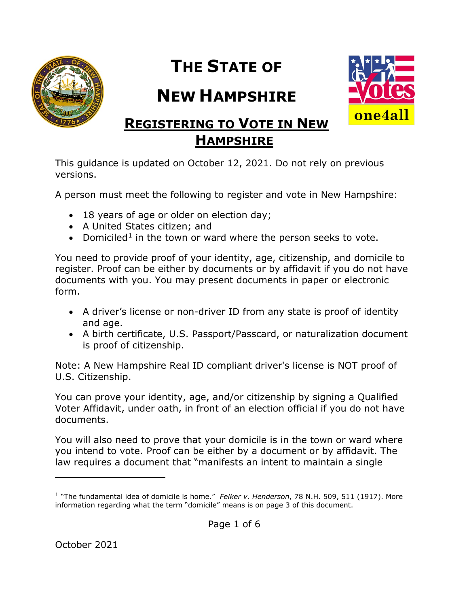

# **THE STATE OF**

## **NEW HAMPSHIRE**



### **REGISTERING TO VOTE IN NEW HAMPSHIRE**

This guidance is updated on October 12, 2021. Do not rely on previous versions.

A person must meet the following to register and vote in New Hampshire:

- 18 years of age or older on election day;
- A United States citizen; and
- Domiciled<sup>[1](#page-0-0)</sup> in the town or ward where the person seeks to vote.

You need to provide proof of your identity, age, citizenship, and domicile to register. Proof can be either by documents or by affidavit if you do not have documents with you. You may present documents in paper or electronic form.

- A driver's license or non-driver ID from any state is proof of identity and age.
- A birth certificate, U.S. Passport/Passcard, or naturalization document is proof of citizenship.

Note: A New Hampshire Real ID compliant driver's license is NOT proof of U.S. Citizenship.

You can prove your identity, age, and/or citizenship by signing a Qualified Voter Affidavit, under oath, in front of an election official if you do not have documents.

You will also need to prove that your domicile is in the town or ward where you intend to vote. Proof can be either by a document or by affidavit. The law requires a document that "manifests an intent to maintain a single

l

<span id="page-0-0"></span><sup>1</sup> "The fundamental idea of domicile is home." *Felker v. Henderson*, 78 N.H. 509, 511 (1917). More information regarding what the term "domicile" means is on page 3 of this document.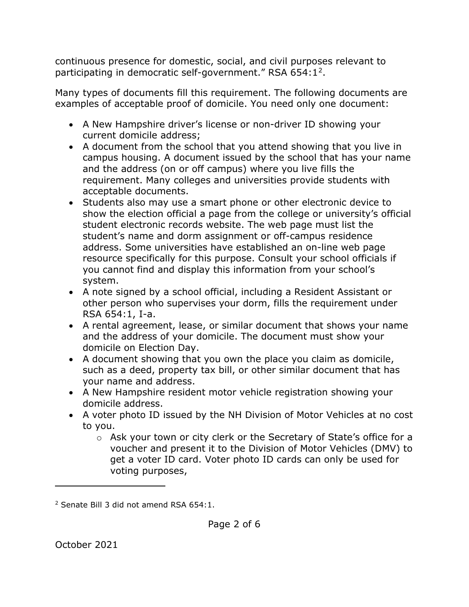continuous presence for domestic, social, and civil purposes relevant to participating in democratic self-government." RSA 654:1[2.](#page-1-0)

Many types of documents fill this requirement. The following documents are examples of acceptable proof of domicile. You need only one document:

- A New Hampshire driver's license or non-driver ID showing your current domicile address;
- A document from the school that you attend showing that you live in campus housing. A document issued by the school that has your name and the address (on or off campus) where you live fills the requirement. Many colleges and universities provide students with acceptable documents.
- Students also may use a smart phone or other electronic device to show the election official a page from the college or university's official student electronic records website. The web page must list the student's name and dorm assignment or off-campus residence address. Some universities have established an on-line web page resource specifically for this purpose. Consult your school officials if you cannot find and display this information from your school's system.
- A note signed by a school official, including a Resident Assistant or other person who supervises your dorm, fills the requirement under RSA 654:1, I-a.
- A rental agreement, lease, or similar document that shows your name and the address of your domicile. The document must show your domicile on Election Day.
- A document showing that you own the place you claim as domicile, such as a deed, property tax bill, or other similar document that has your name and address.
- A New Hampshire resident motor vehicle registration showing your domicile address.
- A voter photo ID issued by the NH Division of Motor Vehicles at no cost to you.
	- o Ask your town or city clerk or the Secretary of State's office for a voucher and present it to the Division of Motor Vehicles (DMV) to get a voter ID card. Voter photo ID cards can only be used for voting purposes,

 $\overline{a}$ 

<span id="page-1-0"></span><sup>2</sup> Senate Bill 3 did not amend RSA 654:1.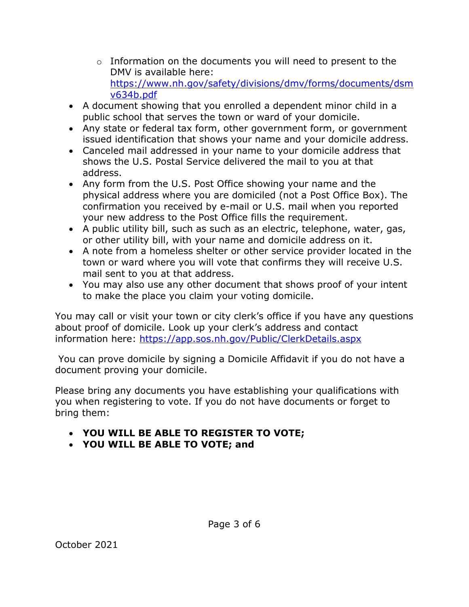- $\circ$  Information on the documents you will need to present to the DMV is available here: [https://www.nh.gov/safety/divisions/dmv/forms/documents/dsm](https://www.nh.gov/safety/divisions/dmv/forms/documents/dsmv634b.pdf) [v634b.pdf](https://www.nh.gov/safety/divisions/dmv/forms/documents/dsmv634b.pdf)
- A document showing that you enrolled a dependent minor child in a public school that serves the town or ward of your domicile.
- Any state or federal tax form, other government form, or government issued identification that shows your name and your domicile address.
- Canceled mail addressed in your name to your domicile address that shows the U.S. Postal Service delivered the mail to you at that address.
- Any form from the U.S. Post Office showing your name and the physical address where you are domiciled (not a Post Office Box). The confirmation you received by e-mail or U.S. mail when you reported your new address to the Post Office fills the requirement.
- A public utility bill, such as such as an electric, telephone, water, gas, or other utility bill, with your name and domicile address on it.
- A note from a homeless shelter or other service provider located in the town or ward where you will vote that confirms they will receive U.S. mail sent to you at that address.
- You may also use any other document that shows proof of your intent to make the place you claim your voting domicile.

You may call or visit your town or city clerk's office if you have any questions about proof of domicile. Look up your clerk's address and contact information here:<https://app.sos.nh.gov/Public/ClerkDetails.aspx>

You can prove domicile by signing a Domicile Affidavit if you do not have a document proving your domicile.

Please bring any documents you have establishing your qualifications with you when registering to vote. If you do not have documents or forget to bring them:

- **YOU WILL BE ABLE TO REGISTER TO VOTE;**
- **YOU WILL BE ABLE TO VOTE; and**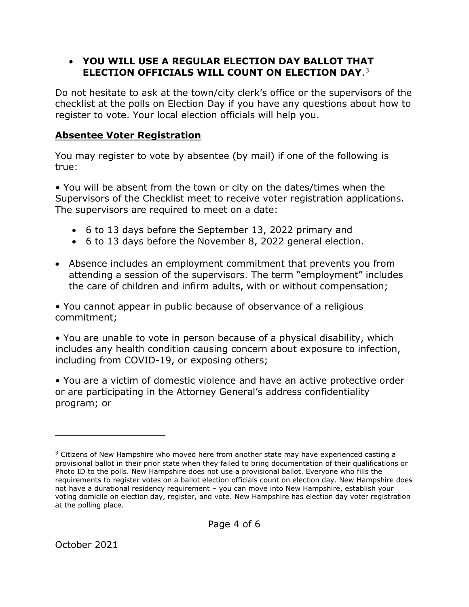#### • **YOU WILL USE A REGULAR ELECTION DAY BALLOT THAT ELECTION OFFICIALS WILL COUNT ON ELECTION DAY**.[3](#page-3-0)

Do not hesitate to ask at the town/city clerk's office or the supervisors of the checklist at the polls on Election Day if you have any questions about how to register to vote. Your local election officials will help you.

#### **Absentee Voter Registration**

You may register to vote by absentee (by mail) if one of the following is true:

• You will be absent from the town or city on the dates/times when the Supervisors of the Checklist meet to receive voter registration applications. The supervisors are required to meet on a date:

- 6 to 13 days before the September 13, 2022 primary and
- 6 to 13 days before the November 8, 2022 general election.
- Absence includes an employment commitment that prevents you from attending a session of the supervisors. The term "employment" includes the care of children and infirm adults, with or without compensation;

• You cannot appear in public because of observance of a religious commitment;

• You are unable to vote in person because of a physical disability, which includes any health condition causing concern about exposure to infection, including from COVID-19, or exposing others;

• You are a victim of domestic violence and have an active protective order or are participating in the Attorney General's address confidentiality program; or

 $\overline{a}$ 

<span id="page-3-0"></span> $3$  Citizens of New Hampshire who moved here from another state may have experienced casting a provisional ballot in their prior state when they failed to bring documentation of their qualifications or Photo ID to the polls. New Hampshire does not use a provisional ballot. Everyone who fills the requirements to register votes on a ballot election officials count on election day. New Hampshire does not have a durational residency requirement – you can move into New Hampshire, establish your voting domicile on election day, register, and vote. New Hampshire has election day voter registration at the polling place.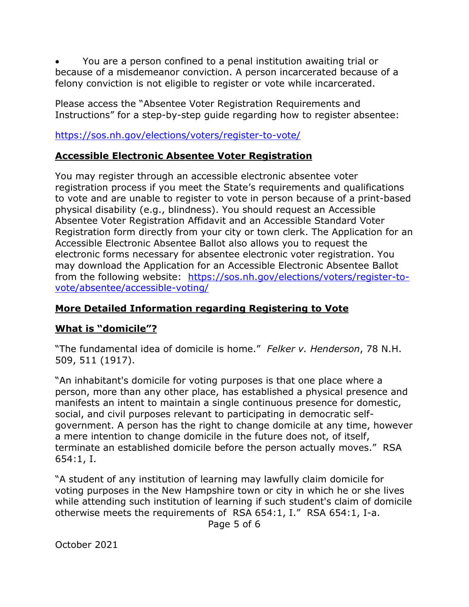• You are a person confined to a penal institution awaiting trial or because of a misdemeanor conviction. A person incarcerated because of a felony conviction is not eligible to register or vote while incarcerated.

Please access the "Absentee Voter Registration Requirements and Instructions" for a step-by-step guide regarding how to register absentee:

#### <https://sos.nh.gov/elections/voters/register-to-vote/>

#### **Accessible Electronic Absentee Voter Registration**

You may register through an accessible electronic absentee voter registration process if you meet the State's requirements and qualifications to vote and are unable to register to vote in person because of a print-based physical disability (e.g., blindness). You should request an Accessible Absentee Voter Registration Affidavit and an Accessible Standard Voter Registration form directly from your city or town clerk. The Application for an Accessible Electronic Absentee Ballot also allows you to request the electronic forms necessary for absentee electronic voter registration. You may download the Application for an Accessible Electronic Absentee Ballot from the following website: [https://sos.nh.gov/elections/voters/register-to](https://sos.nh.gov/elections/voters/register-to-vote/absentee/accessible-voting/)[vote/absentee/accessible-voting/](https://sos.nh.gov/elections/voters/register-to-vote/absentee/accessible-voting/)

#### **More Detailed Information regarding Registering to Vote**

#### **What is "domicile"?**

"The fundamental idea of domicile is home." *Felker v. Henderson*, 78 N.H. 509, 511 (1917).

"An inhabitant's domicile for voting purposes is that one place where a person, more than any other place, has established a physical presence and manifests an intent to maintain a single continuous presence for domestic, social, and civil purposes relevant to participating in democratic selfgovernment. A person has the right to change domicile at any time, however a mere intention to change domicile in the future does not, of itself, terminate an established domicile before the person actually moves." RSA 654:1, I.

"A student of any institution of learning may lawfully claim domicile for voting purposes in the New Hampshire town or city in which he or she lives while attending such institution of learning if such student's claim of domicile otherwise meets the requirements of RSA 654:1, I." RSA 654:1, I-a.

Page 5 of 6

October 2021